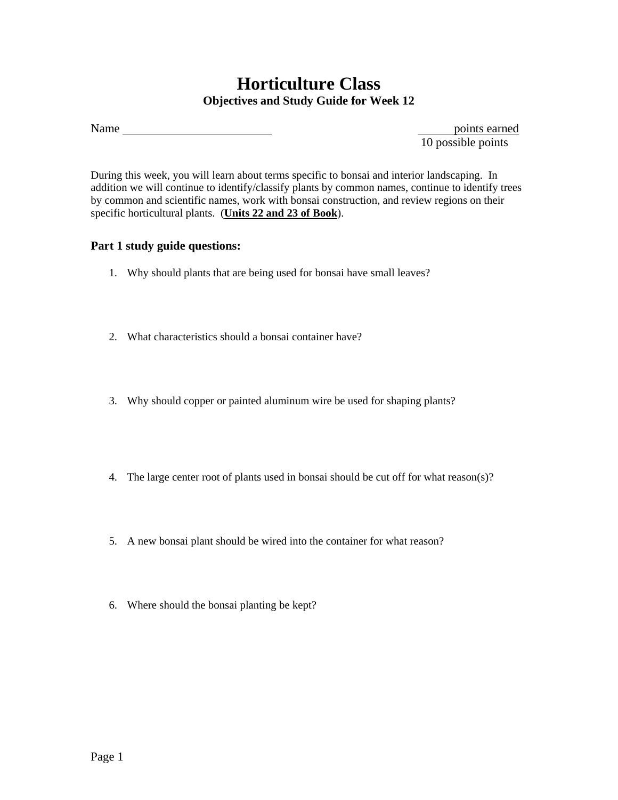## **Horticulture Class Objectives and Study Guide for Week 12**

10 possible points

During this week, you will learn about terms specific to bonsai and interior landscaping. In addition we will continue to identify/classify plants by common names, continue to identify trees by common and scientific names, work with bonsai construction, and review regions on their specific horticultural plants. (**Units 22 and 23 of Book**).

## **Part 1 study guide questions:**

- 1. Why should plants that are being used for bonsai have small leaves?
- 2. What characteristics should a bonsai container have?
- 3. Why should copper or painted aluminum wire be used for shaping plants?
- 4. The large center root of plants used in bonsai should be cut off for what reason(s)?
- 5. A new bonsai plant should be wired into the container for what reason?
- 6. Where should the bonsai planting be kept?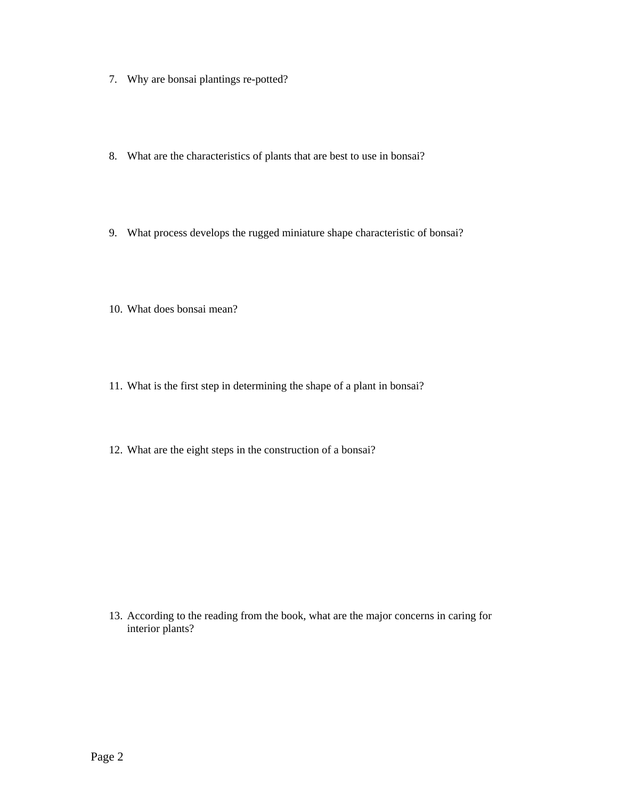- 7. Why are bonsai plantings re-potted?
- 8. What are the characteristics of plants that are best to use in bonsai?
- 9. What process develops the rugged miniature shape characteristic of bonsai?
- 10. What does bonsai mean?
- 11. What is the first step in determining the shape of a plant in bonsai?
- 12. What are the eight steps in the construction of a bonsai?

13. According to the reading from the book, what are the major concerns in caring for interior plants?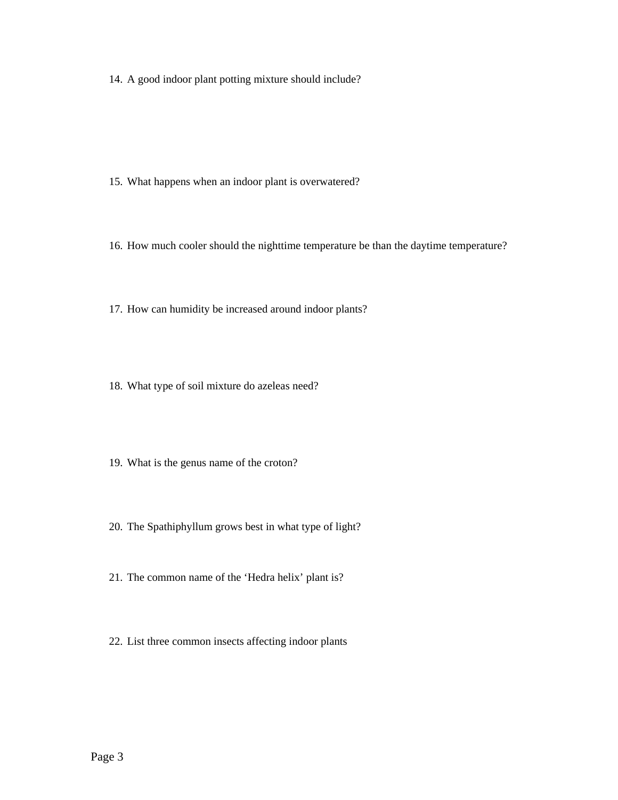14. A good indoor plant potting mixture should include?

- 15. What happens when an indoor plant is overwatered?
- 16. How much cooler should the nighttime temperature be than the daytime temperature?
- 17. How can humidity be increased around indoor plants?
- 18. What type of soil mixture do azeleas need?
- 19. What is the genus name of the croton?
- 20. The Spathiphyllum grows best in what type of light?
- 21. The common name of the 'Hedra helix' plant is?
- 22. List three common insects affecting indoor plants